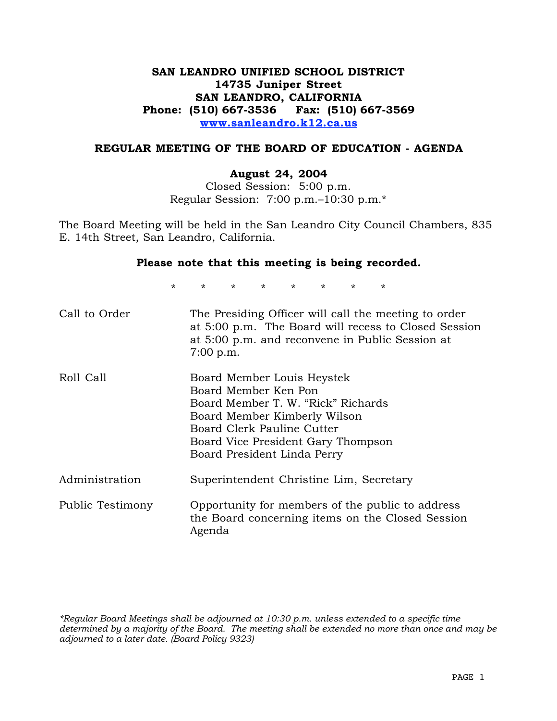## **SAN LEANDRO UNIFIED SCHOOL DISTRICT 14735 Juniper Street SAN LEANDRO, CALIFORNIA Phone: (510) 667-3536 Fax: (510) 667-3569 www.sanleandro.k12.ca.us**

#### **REGULAR MEETING OF THE BOARD OF EDUCATION - AGENDA**

#### **August 24, 2004**

Closed Session: 5:00 p.m. Regular Session: 7:00 p.m.–10:30 p.m.\*

The Board Meeting will be held in the San Leandro City Council Chambers, 835 E. 14th Street, San Leandro, California.

#### **Please note that this meeting is being recorded.**

\* \* \* \* \* \* \* \*

| Call to Order    | The Presiding Officer will call the meeting to order<br>at 5:00 p.m. The Board will recess to Closed Session<br>at 5:00 p.m. and reconvene in Public Session at<br>7:00 p.m.                                                |
|------------------|-----------------------------------------------------------------------------------------------------------------------------------------------------------------------------------------------------------------------------|
| Roll Call        | Board Member Louis Heystek<br>Board Member Ken Pon<br>Board Member T. W. "Rick" Richards<br>Board Member Kimberly Wilson<br>Board Clerk Pauline Cutter<br>Board Vice President Gary Thompson<br>Board President Linda Perry |
| Administration   | Superintendent Christine Lim, Secretary                                                                                                                                                                                     |
| Public Testimony | Opportunity for members of the public to address<br>the Board concerning items on the Closed Session<br>Agenda                                                                                                              |

*\*Regular Board Meetings shall be adjourned at 10:30 p.m. unless extended to a specific time determined by a majority of the Board. The meeting shall be extended no more than once and may be adjourned to a later date. (Board Policy 9323)*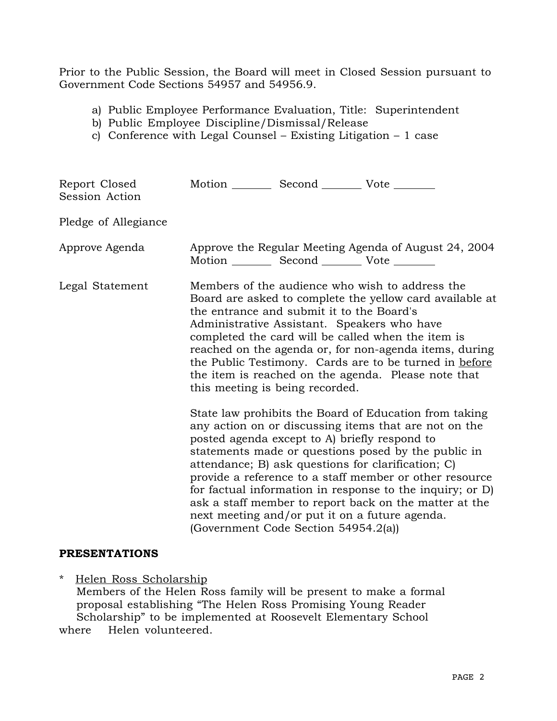Prior to the Public Session, the Board will meet in Closed Session pursuant to Government Code Sections 54957 and 54956.9.

- a) Public Employee Performance Evaluation, Title: Superintendent
- b) Public Employee Discipline/Dismissal/Release
- c) Conference with Legal Counsel Existing Litigation 1 case

| Report Closed<br>Session Action | Motion __________ Second ___________ Vote ________                                                                          |                                                                                                                                                                                                                                                                                                                                                                                                                                                                  |
|---------------------------------|-----------------------------------------------------------------------------------------------------------------------------|------------------------------------------------------------------------------------------------------------------------------------------------------------------------------------------------------------------------------------------------------------------------------------------------------------------------------------------------------------------------------------------------------------------------------------------------------------------|
| Pledge of Allegiance            |                                                                                                                             |                                                                                                                                                                                                                                                                                                                                                                                                                                                                  |
| Approve Agenda                  | Motion __________ Second ____________ Vote _________                                                                        | Approve the Regular Meeting Agenda of August 24, 2004                                                                                                                                                                                                                                                                                                                                                                                                            |
| Legal Statement                 | the entrance and submit it to the Board's<br>Administrative Assistant. Speakers who have<br>this meeting is being recorded. | Members of the audience who wish to address the<br>Board are asked to complete the yellow card available at<br>completed the card will be called when the item is<br>reached on the agenda or, for non-agenda items, during<br>the Public Testimony. Cards are to be turned in before<br>the item is reached on the agenda. Please note that                                                                                                                     |
|                                 | posted agenda except to A) briefly respond to<br>(Government Code Section 54954.2(a))                                       | State law prohibits the Board of Education from taking<br>any action on or discussing items that are not on the<br>statements made or questions posed by the public in<br>attendance; B) ask questions for clarification; C)<br>provide a reference to a staff member or other resource<br>for factual information in response to the inquiry; or D)<br>ask a staff member to report back on the matter at the<br>next meeting and/or put it on a future agenda. |

#### **PRESENTATIONS**

\* Helen Ross Scholarship

Members of the Helen Ross family will be present to make a formal proposal establishing "The Helen Ross Promising Young Reader Scholarship" to be implemented at Roosevelt Elementary School where Helen volunteered.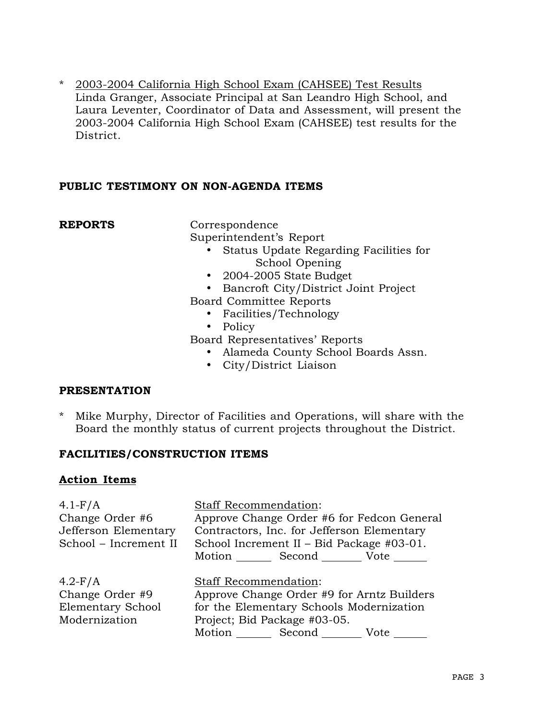\* 2003-2004 California High School Exam (CAHSEE) Test Results Linda Granger, Associate Principal at San Leandro High School, and Laura Leventer, Coordinator of Data and Assessment, will present the 2003-2004 California High School Exam (CAHSEE) test results for the District.

#### **PUBLIC TESTIMONY ON NON-AGENDA ITEMS**

**REPORTS** Correspondence

Superintendent's Report

- Status Update Regarding Facilities for School Opening
- 2004-2005 State Budget
- Bancroft City/District Joint Project

Board Committee Reports

- Facilities/Technology
- Policy
- Board Representatives' Reports
	- Alameda County School Boards Assn.
	- City/District Liaison

## **PRESENTATION**

\* Mike Murphy, Director of Facilities and Operations, will share with the Board the monthly status of current projects throughout the District.

## **FACILITIES/CONSTRUCTION ITEMS**

## **Action Items**

| $4.1-F/A$                                                          | Staff Recommendation:                                                                                                                                                 |
|--------------------------------------------------------------------|-----------------------------------------------------------------------------------------------------------------------------------------------------------------------|
| Change Order #6                                                    | Approve Change Order #6 for Fedcon General                                                                                                                            |
| Jefferson Elementary                                               | Contractors, Inc. for Jefferson Elementary                                                                                                                            |
| School - Increment II                                              | School Increment II - Bid Package #03-01.                                                                                                                             |
|                                                                    | Motion Second Vote                                                                                                                                                    |
| $4.2-F/A$<br>Change Order #9<br>Elementary School<br>Modernization | Staff Recommendation:<br>Approve Change Order #9 for Arntz Builders<br>for the Elementary Schools Modernization<br>Project; Bid Package #03-05.<br>Motion Second Vote |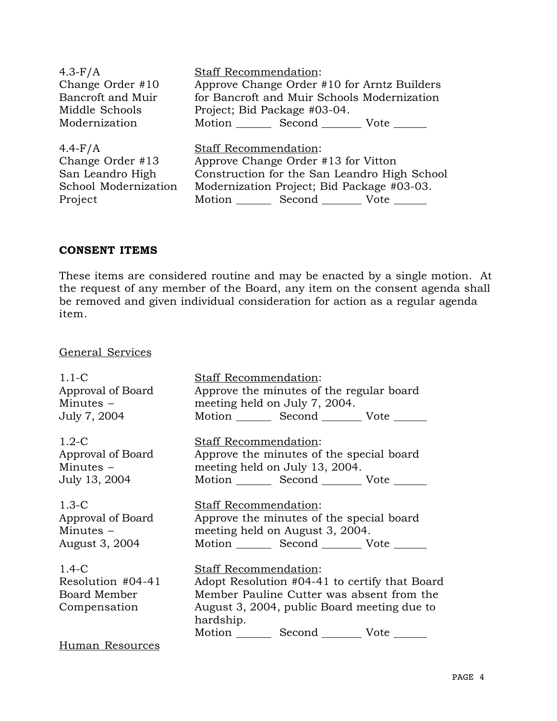| $4.3-F/A$            | Staff Recommendation:                           |
|----------------------|-------------------------------------------------|
| Change Order #10     | Approve Change Order #10 for Arntz Builders     |
| Bancroft and Muir    | for Bancroft and Muir Schools Modernization     |
| Middle Schools       | Project; Bid Package #03-04.                    |
| Modernization        | Motion _________ Second __________ Vote _______ |
| $4.4-F/A$            | Staff Recommendation:                           |
| Change Order #13     | Approve Change Order #13 for Vitton             |
| San Leandro High     | Construction for the San Leandro High School    |
| School Modernization | Modernization Project; Bid Package #03-03.      |
| Project              | Motion _________ Second __________ Vote ______  |

#### **CONSENT ITEMS**

These items are considered routine and may be enacted by a single motion. At the request of any member of the Board, any item on the consent agenda shall be removed and given individual consideration for action as a regular agenda item.

# General Services

| $1.1 - C$<br>Approval of Board<br>Minutes $-$                 | Staff Recommendation:<br>Approve the minutes of the regular board<br>meeting held on July 7, 2004.                                |
|---------------------------------------------------------------|-----------------------------------------------------------------------------------------------------------------------------------|
| July 7, 2004                                                  | Motion _________ Second __________ Vote _______                                                                                   |
| $1.2-C$<br>Approval of Board                                  | Staff Recommendation:<br>Approve the minutes of the special board                                                                 |
| Minutes $-$                                                   | meeting held on July 13, 2004.                                                                                                    |
| July 13, 2004                                                 | Motion ________ Second _________ Vote _______                                                                                     |
| $1.3-C$<br>Approval of Board<br>Minutes $-$<br>August 3, 2004 | <b>Staff Recommendation:</b><br>Approve the minutes of the special board<br>meeting held on August 3, 2004.<br>Motion Second Vote |
| $1.4 - C$                                                     | Staff Recommendation:                                                                                                             |
| Resolution #04-41                                             | Adopt Resolution #04-41 to certify that Board                                                                                     |
| Board Member                                                  | Member Pauline Cutter was absent from the                                                                                         |
| Compensation                                                  | August 3, 2004, public Board meeting due to<br>hardship.                                                                          |
|                                                               | Motion Second Vote                                                                                                                |
| Human Resources                                               |                                                                                                                                   |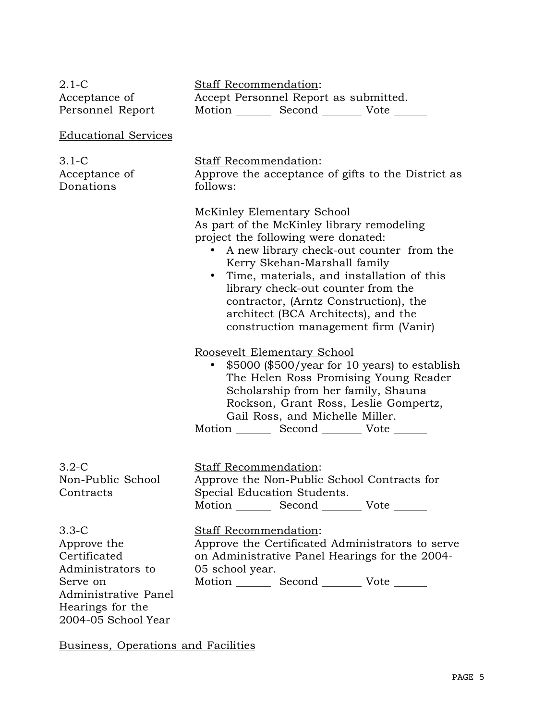| $2.1-C$<br>Acceptance of<br>Personnel Report                                                                                               | <b>Staff Recommendation:</b><br>Accept Personnel Report as submitted.<br>Motion _________ Second __________ Vote _______                                                                                                                                                                                                                                                                                                   |
|--------------------------------------------------------------------------------------------------------------------------------------------|----------------------------------------------------------------------------------------------------------------------------------------------------------------------------------------------------------------------------------------------------------------------------------------------------------------------------------------------------------------------------------------------------------------------------|
| <b>Educational Services</b>                                                                                                                |                                                                                                                                                                                                                                                                                                                                                                                                                            |
| $3.1-C$<br>Acceptance of<br>Donations                                                                                                      | <b>Staff Recommendation:</b><br>Approve the acceptance of gifts to the District as<br>follows:                                                                                                                                                                                                                                                                                                                             |
|                                                                                                                                            | <b>McKinley Elementary School</b><br>As part of the McKinley library remodeling<br>project the following were donated:<br>A new library check-out counter from the<br>Kerry Skehan-Marshall family<br>Time, materials, and installation of this<br>$\bullet$<br>library check-out counter from the<br>contractor, (Arntz Construction), the<br>architect (BCA Architects), and the<br>construction management firm (Vanir) |
|                                                                                                                                            | Roosevelt Elementary School<br>\$5000 (\$500/year for 10 years) to establish<br>The Helen Ross Promising Young Reader<br>Scholarship from her family, Shauna<br>Rockson, Grant Ross, Leslie Gompertz,<br>Gail Ross, and Michelle Miller.<br>Motion _________ Second ___________ Vote _______                                                                                                                               |
| $3.2-C$<br>Non-Public School<br>Contracts                                                                                                  | <b>Staff Recommendation:</b><br>Approve the Non-Public School Contracts for<br>Special Education Students.<br>Motion _________ Second __________ Vote _______                                                                                                                                                                                                                                                              |
| $3.3-C$<br>Approve the<br>Certificated<br>Administrators to<br>Serve on<br>Administrative Panel<br>Hearings for the<br>2004-05 School Year | Staff Recommendation:<br>Approve the Certificated Administrators to serve<br>on Administrative Panel Hearings for the 2004-<br>05 school year.<br>Motion _________ Second ___________ Vote _______                                                                                                                                                                                                                         |

Business, Operations and Facilities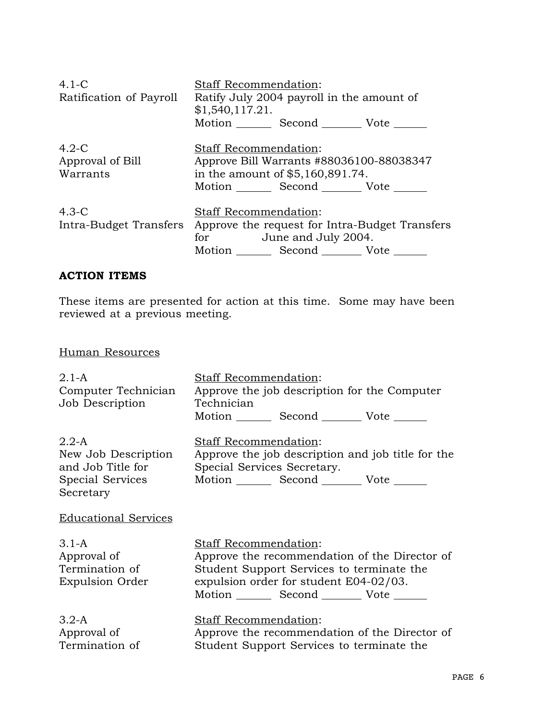| $4.1 - C$<br>Ratification of Payroll    | Staff Recommendation:<br>Ratify July 2004 payroll in the amount of<br>\$1,540,117.21.<br>Motion Second Vote                                              |
|-----------------------------------------|----------------------------------------------------------------------------------------------------------------------------------------------------------|
| $4.2-C$<br>Approval of Bill<br>Warrants | Staff Recommendation:<br>Approve Bill Warrants #88036100-88038347<br>in the amount of \$5,160,891.74.<br>Motion _________ Second __________ Vote _______ |
| $4.3-C$<br>Intra-Budget Transfers       | Staff Recommendation:<br>Approve the request for Intra-Budget Transfers<br>for June and July 2004.<br>Motion Second Vote                                 |

# **ACTION ITEMS**

These items are presented for action at this time. Some may have been reviewed at a previous meeting.

# Human Resources

| $2.1-A$                     | Staff Recommendation:                             |
|-----------------------------|---------------------------------------------------|
| Computer Technician         | Approve the job description for the Computer      |
| Job Description             | Technician                                        |
|                             | Motion _________ Second __________ Vote _______   |
| $2.2-A$                     | Staff Recommendation:                             |
| New Job Description         | Approve the job description and job title for the |
| and Job Title for           | Special Services Secretary.                       |
| Special Services            | Motion _________ Second ___________ Vote _______  |
| Secretary                   |                                                   |
| <b>Educational Services</b> |                                                   |
| $3.1-A$                     | Staff Recommendation:                             |
| Approval of                 | Approve the recommendation of the Director of     |
| Termination of              | Student Support Services to terminate the         |
| <b>Expulsion Order</b>      | expulsion order for student E04-02/03.            |
|                             | Motion ________ Second _________ Vote _______     |
|                             |                                                   |
| $3.2-A$                     | <b>Staff Recommendation:</b>                      |
| Approval of                 | Approve the recommendation of the Director of     |
| Termination of              | Student Support Services to terminate the         |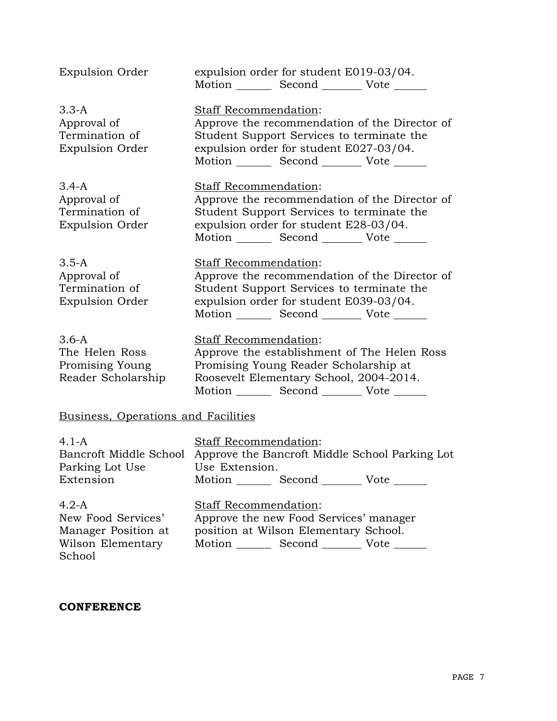| <b>Expulsion Order</b>                                             | expulsion order for student E019-03/04.<br>Motion _________ Second __________ Vote _______                                                                                                                        |  |
|--------------------------------------------------------------------|-------------------------------------------------------------------------------------------------------------------------------------------------------------------------------------------------------------------|--|
| $3.3-A$<br>Approval of<br>Termination of<br><b>Expulsion Order</b> | Staff Recommendation:<br>Approve the recommendation of the Director of<br>Student Support Services to terminate the<br>expulsion order for student E027-03/04.<br>Motion _________ Second __________ Vote _______ |  |
| $3.4-A$<br>Approval of<br>Termination of<br><b>Expulsion Order</b> | Staff Recommendation:<br>Approve the recommendation of the Director of<br>Student Support Services to terminate the<br>expulsion order for student E28-03/04.<br>Motion _________ Second __________ Vote _______  |  |
| $3.5-A$<br>Approval of<br>Termination of<br><b>Expulsion Order</b> | Staff Recommendation:<br>Approve the recommendation of the Director of<br>Student Support Services to terminate the<br>expulsion order for student E039-03/04.<br>Motion _________ Second __________ Vote _______ |  |
| $3.6-A$<br>The Helen Ross<br>Promising Young<br>Reader Scholarship | Staff Recommendation:<br>Approve the establishment of The Helen Ross<br>Promising Young Reader Scholarship at<br>Roosevelt Elementary School, 2004-2014.<br>Motion _________ Second __________ Vote _______       |  |
| Business, Operations and Facilities                                |                                                                                                                                                                                                                   |  |
| $4.1-A$<br>Bancroft Middle School<br>Parking Lot Use<br>Extension  | Staff Recommendation:<br>Approve the Bancroft Middle School Parking Lot<br>Use Extension.<br>Motion _________ Second _________ Vote _______                                                                       |  |
| $4.2-A$                                                            | <b>Staff Recommendation:</b>                                                                                                                                                                                      |  |

New Food Services' Manager Position at Wilson Elementary School

Approve the new Food Services' manager position at Wilson Elementary School. Motion \_\_\_\_\_\_\_\_ Second \_\_\_\_\_\_\_\_\_ Vote \_\_\_\_\_\_

#### **CONFERENCE**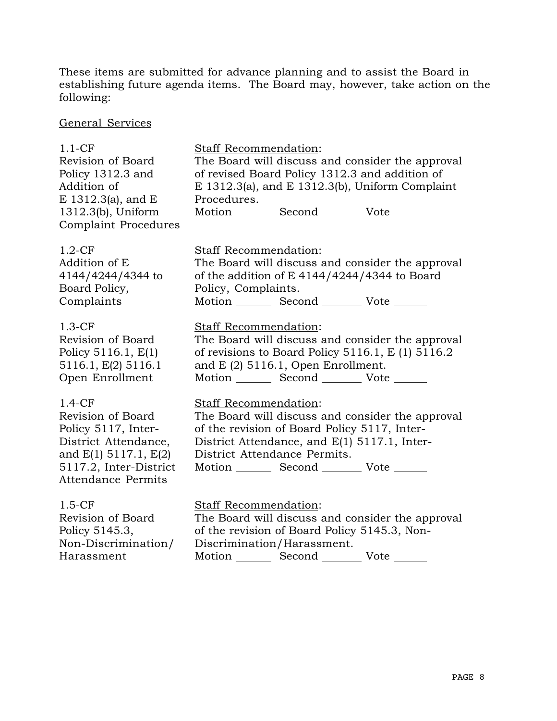These items are submitted for advance planning and to assist the Board in establishing future agenda items. The Board may, however, take action on the following:

General Services

| $1.1-CF$<br>Revision of Board<br>Policy 1312.3 and<br>Addition of<br>$E$ 1312.3(a), and $E$<br>1312.3(b), Uniform<br>Complaint Procedures                    | <b>Staff Recommendation:</b><br>The Board will discuss and consider the approval<br>of revised Board Policy 1312.3 and addition of<br>E 1312.3(a), and E 1312.3(b), Uniform Complaint<br>Procedures.<br>Motion _________ Second __________ Vote _______             |
|--------------------------------------------------------------------------------------------------------------------------------------------------------------|---------------------------------------------------------------------------------------------------------------------------------------------------------------------------------------------------------------------------------------------------------------------|
| $1.2-CF$                                                                                                                                                     | <b>Staff Recommendation:</b>                                                                                                                                                                                                                                        |
| Addition of E                                                                                                                                                | The Board will discuss and consider the approval                                                                                                                                                                                                                    |
| 4144/4244/4344 to                                                                                                                                            | of the addition of E 4144/4244/4344 to Board                                                                                                                                                                                                                        |
| Board Policy,                                                                                                                                                | Policy, Complaints.                                                                                                                                                                                                                                                 |
| Complaints                                                                                                                                                   | Motion _________ Second __________ Vote _______                                                                                                                                                                                                                     |
| $1.3-CF$                                                                                                                                                     | Staff Recommendation:                                                                                                                                                                                                                                               |
| Revision of Board                                                                                                                                            | The Board will discuss and consider the approval                                                                                                                                                                                                                    |
| Policy 5116.1, $E(1)$                                                                                                                                        | of revisions to Board Policy 5116.1, $E(1)$ 5116.2                                                                                                                                                                                                                  |
| 5116.1, E(2) 5116.1                                                                                                                                          | and $E(2)$ 5116.1, Open Enrollment.                                                                                                                                                                                                                                 |
| Open Enrollment                                                                                                                                              | Motion _________ Second __________ Vote _______                                                                                                                                                                                                                     |
| $1.4-CF$<br>Revision of Board<br>Policy 5117, Inter-<br>District Attendance,<br>and E(1) 5117.1, E(2)<br>5117.2, Inter-District<br><b>Attendance Permits</b> | <b>Staff Recommendation:</b><br>The Board will discuss and consider the approval<br>of the revision of Board Policy 5117, Inter-<br>District Attendance, and E(1) 5117.1, Inter-<br>District Attendance Permits.<br>Motion _________ Second __________ Vote _______ |
| $1.5-CF$                                                                                                                                                     | <b>Staff Recommendation:</b>                                                                                                                                                                                                                                        |
| Revision of Board                                                                                                                                            | The Board will discuss and consider the approval                                                                                                                                                                                                                    |
| Policy 5145.3,                                                                                                                                               | of the revision of Board Policy 5145.3, Non-                                                                                                                                                                                                                        |
| Non-Discrimination/                                                                                                                                          | Discrimination/Harassment.                                                                                                                                                                                                                                          |
| Harassment                                                                                                                                                   | Motion _________ Second __________ Vote                                                                                                                                                                                                                             |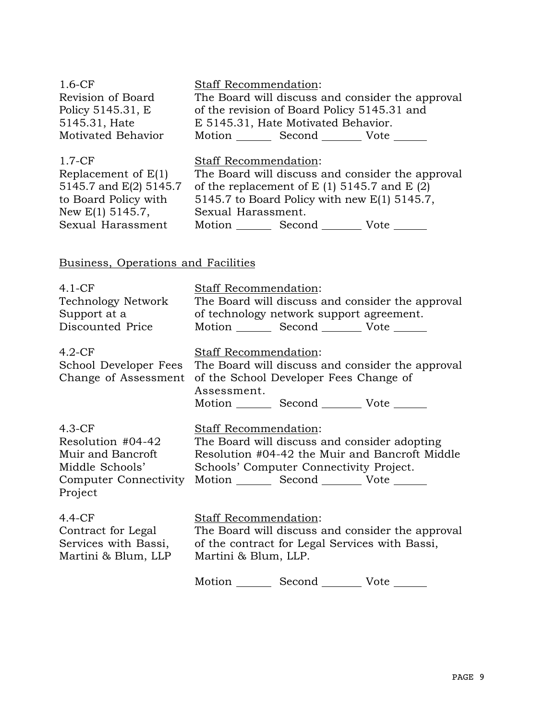| $1.6-CF$<br>Revision of Board<br>Policy 5145.31, E<br>5145.31, Hate<br>Motivated Behavior | <b>Staff Recommendation:</b><br>The Board will discuss and consider the approval<br>of the revision of Board Policy 5145.31 and<br>E 5145.31, Hate Motivated Behavior.<br>Motion Second Vote ______ |  |
|-------------------------------------------------------------------------------------------|-----------------------------------------------------------------------------------------------------------------------------------------------------------------------------------------------------|--|
| $1.7-CF$                                                                                  | <b>Staff Recommendation:</b>                                                                                                                                                                        |  |
| Replacement of $E(1)$                                                                     | The Board will discuss and consider the approval                                                                                                                                                    |  |
| 5145.7 and E(2) 5145.7                                                                    | of the replacement of $E(1)$ 5145.7 and $E(2)$                                                                                                                                                      |  |
| to Board Policy with                                                                      | 5145.7 to Board Policy with new $E(1)$ 5145.7,                                                                                                                                                      |  |
| New $E(1)$ 5145.7,                                                                        | Sexual Harassment.                                                                                                                                                                                  |  |
| Sexual Harassment                                                                         | Motion Second Vote                                                                                                                                                                                  |  |
| Business, Operations and Facilities                                                       |                                                                                                                                                                                                     |  |
| $4.1 - CF$                                                                                | <b>Staff Recommendation:</b>                                                                                                                                                                        |  |
| Technology Network                                                                        | The Board will discuss and consider the approval                                                                                                                                                    |  |
| Support at a                                                                              | of technology network support agreement.                                                                                                                                                            |  |
| Discounted Price                                                                          | Motion _________ Second ___________ Vote                                                                                                                                                            |  |

| $4.2-CF$<br>School Developer Fees                                                                         | Staff Recommendation:<br>The Board will discuss and consider the approval<br>Change of Assessment of the School Developer Fees Change of<br>Assessment.<br>Motion Second Vote            |
|-----------------------------------------------------------------------------------------------------------|------------------------------------------------------------------------------------------------------------------------------------------------------------------------------------------|
| $4.3-CF$<br>Resolution #04-42<br>Muir and Bancroft<br>Middle Schools'<br>Computer Connectivity<br>Project | Staff Recommendation:<br>The Board will discuss and consider adopting<br>Resolution #04-42 the Muir and Bancroft Middle<br>Schools' Computer Connectivity Project.<br>Motion Second Vote |
| $4.4-CF$<br>Contract for Legal<br>Services with Bassi,<br>Martini & Blum, LLP                             | Staff Recommendation:<br>The Board will discuss and consider the approval<br>of the contract for Legal Services with Bassi,<br>Martini & Blum, LLP.                                      |

Motion \_\_\_\_\_\_\_\_ Second \_\_\_\_\_\_\_\_\_ Vote \_\_\_\_\_\_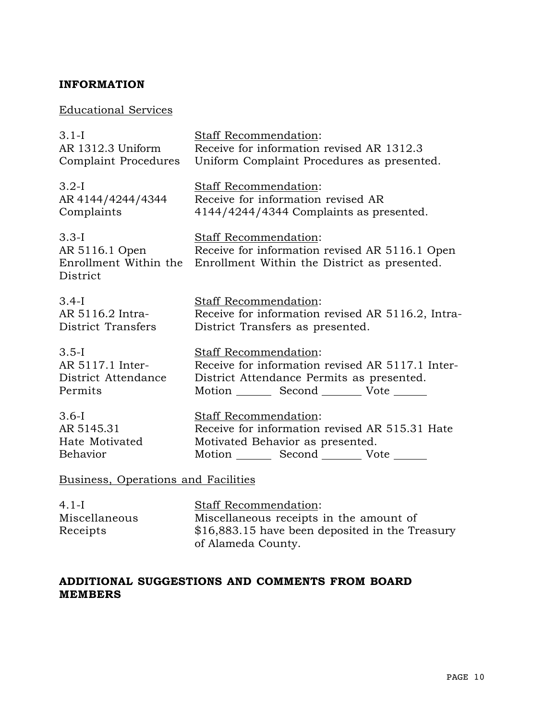## **INFORMATION**

## Educational Services

| $3.1-I$                             | Staff Recommendation:                                              |
|-------------------------------------|--------------------------------------------------------------------|
| AR 1312.3 Uniform                   | Receive for information revised AR 1312.3                          |
| Complaint Procedures                | Uniform Complaint Procedures as presented.                         |
| $3.2-I$                             | Staff Recommendation:                                              |
| AR 4144/4244/4344                   | Receive for information revised AR                                 |
| Complaints                          | 4144/4244/4344 Complaints as presented.                            |
| $3.3-I$                             | Staff Recommendation:                                              |
| AR 5116.1 Open                      | Receive for information revised AR 5116.1 Open                     |
| District                            | Enrollment Within the Enrollment Within the District as presented. |
| $3.4-I$                             | Staff Recommendation:                                              |
| AR 5116.2 Intra-                    | Receive for information revised AR 5116.2, Intra-                  |
| District Transfers                  | District Transfers as presented.                                   |
| $3.5-I$                             | Staff Recommendation:                                              |
| AR 5117.1 Inter-                    | Receive for information revised AR 5117.1 Inter-                   |
| District Attendance                 | District Attendance Permits as presented.                          |
| Permits                             | Motion _________ Second __________ Vote _______                    |
| $3.6-I$                             | Staff Recommendation:                                              |
| AR 5145.31                          | Receive for information revised AR 515.31 Hate                     |
| Hate Motivated                      | Motivated Behavior as presented.                                   |
| Behavior                            | Motion _________ Second __________ Vote _______                    |
| Business, Operations and Facilities |                                                                    |
| 4 1 J                               | $Staff$ Recommendation:                                            |

4.1-I 4.1-1<br>Miscellaneous<br>Receints Receipts

Staff Recommendation: Miscellaneous receipts in the amount of \$16,883.15 have been deposited in the Treasury of Alameda County.

# **ADDITIONAL SUGGESTIONS AND COMMENTS FROM BOARD MEMBERS**